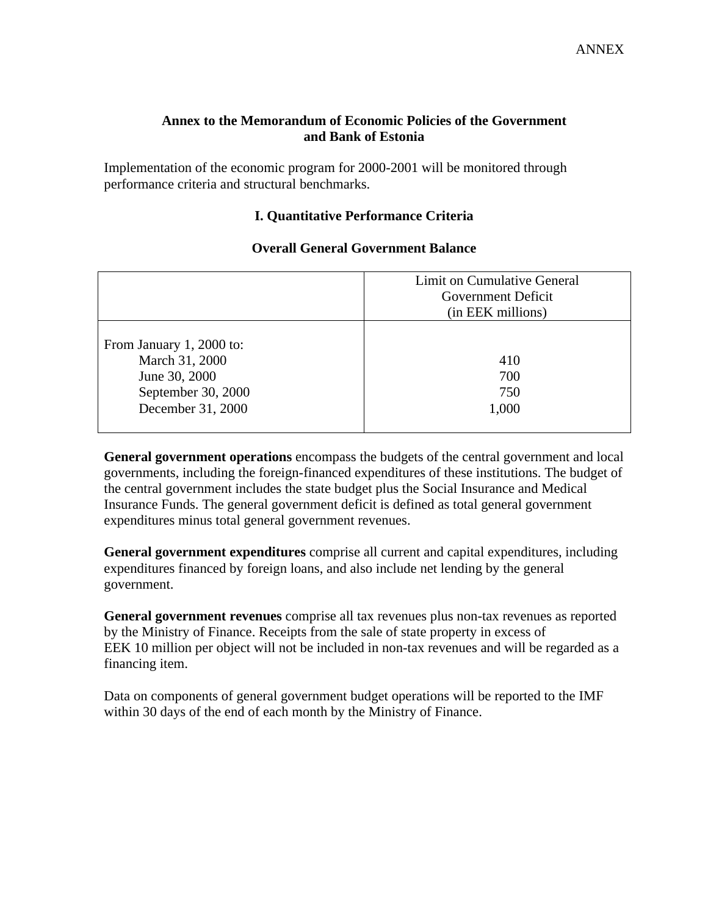### **Annex to the Memorandum of Economic Policies of the Government and Bank of Estonia**

Implementation of the economic program for 2000-2001 will be monitored through performance criteria and structural benchmarks.

## **I. Quantitative Performance Criteria**

|                                                                                                        | Limit on Cumulative General<br>Government Deficit<br>(in EEK millions) |
|--------------------------------------------------------------------------------------------------------|------------------------------------------------------------------------|
| From January 1, 2000 to:<br>March 31, 2000<br>June 30, 2000<br>September 30, 2000<br>December 31, 2000 | 410<br>700<br>750<br>1,000                                             |

### **Overall General Government Balance**

**General government operations** encompass the budgets of the central government and local governments, including the foreign-financed expenditures of these institutions. The budget of the central government includes the state budget plus the Social Insurance and Medical Insurance Funds. The general government deficit is defined as total general government expenditures minus total general government revenues.

**General government expenditures** comprise all current and capital expenditures, including expenditures financed by foreign loans, and also include net lending by the general government.

**General government revenues** comprise all tax revenues plus non-tax revenues as reported by the Ministry of Finance. Receipts from the sale of state property in excess of EEK 10 million per object will not be included in non-tax revenues and will be regarded as a financing item.

Data on components of general government budget operations will be reported to the IMF within 30 days of the end of each month by the Ministry of Finance.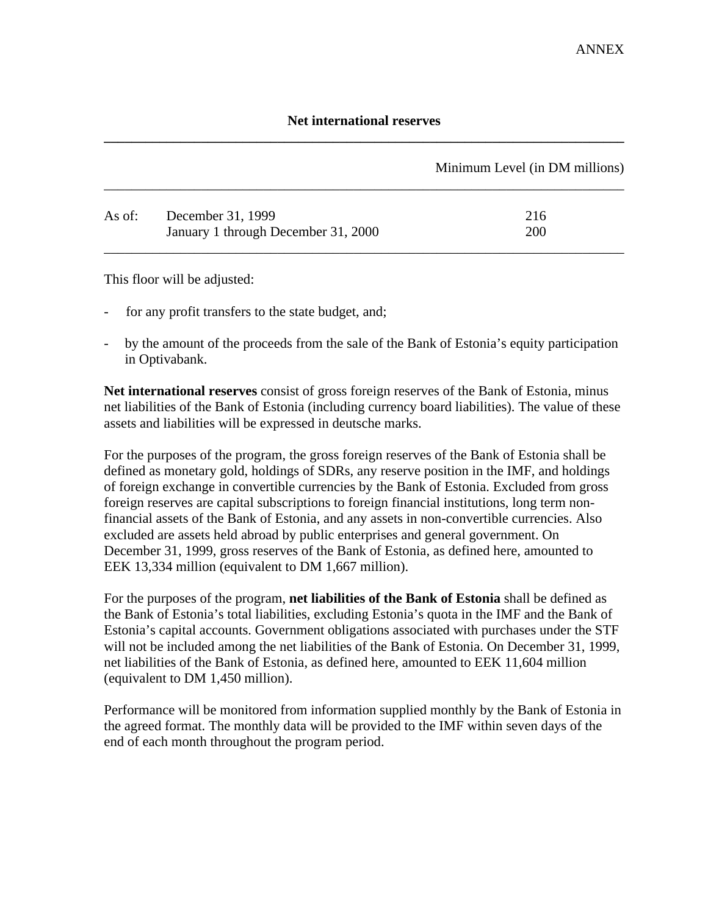## **Net international reserves \_\_\_\_\_\_\_\_\_\_\_\_\_\_\_\_\_\_\_\_\_\_\_\_\_\_\_\_\_\_\_\_\_\_\_\_\_\_\_\_\_\_\_\_\_\_\_\_\_\_\_\_\_\_\_\_\_\_\_\_\_\_\_\_\_\_\_\_\_\_\_\_\_\_\_**

|        |                                     | Minimum Level (in DM millions) |
|--------|-------------------------------------|--------------------------------|
| As of: | December 31, 1999                   | 216                            |
|        | January 1 through December 31, 2000 | 200                            |

This floor will be adjusted:

- for any profit transfers to the state budget, and;
- by the amount of the proceeds from the sale of the Bank of Estonia's equity participation in Optivabank.

**Net international reserves** consist of gross foreign reserves of the Bank of Estonia, minus net liabilities of the Bank of Estonia (including currency board liabilities). The value of these assets and liabilities will be expressed in deutsche marks.

For the purposes of the program, the gross foreign reserves of the Bank of Estonia shall be defined as monetary gold, holdings of SDRs, any reserve position in the IMF, and holdings of foreign exchange in convertible currencies by the Bank of Estonia. Excluded from gross foreign reserves are capital subscriptions to foreign financial institutions, long term nonfinancial assets of the Bank of Estonia, and any assets in non-convertible currencies. Also excluded are assets held abroad by public enterprises and general government. On December 31, 1999, gross reserves of the Bank of Estonia, as defined here, amounted to EEK 13,334 million (equivalent to DM 1,667 million).

For the purposes of the program, **net liabilities of the Bank of Estonia** shall be defined as the Bank of Estonia's total liabilities, excluding Estonia's quota in the IMF and the Bank of Estonia's capital accounts. Government obligations associated with purchases under the STF will not be included among the net liabilities of the Bank of Estonia. On December 31, 1999, net liabilities of the Bank of Estonia, as defined here, amounted to EEK 11,604 million (equivalent to DM 1,450 million).

Performance will be monitored from information supplied monthly by the Bank of Estonia in the agreed format. The monthly data will be provided to the IMF within seven days of the end of each month throughout the program period.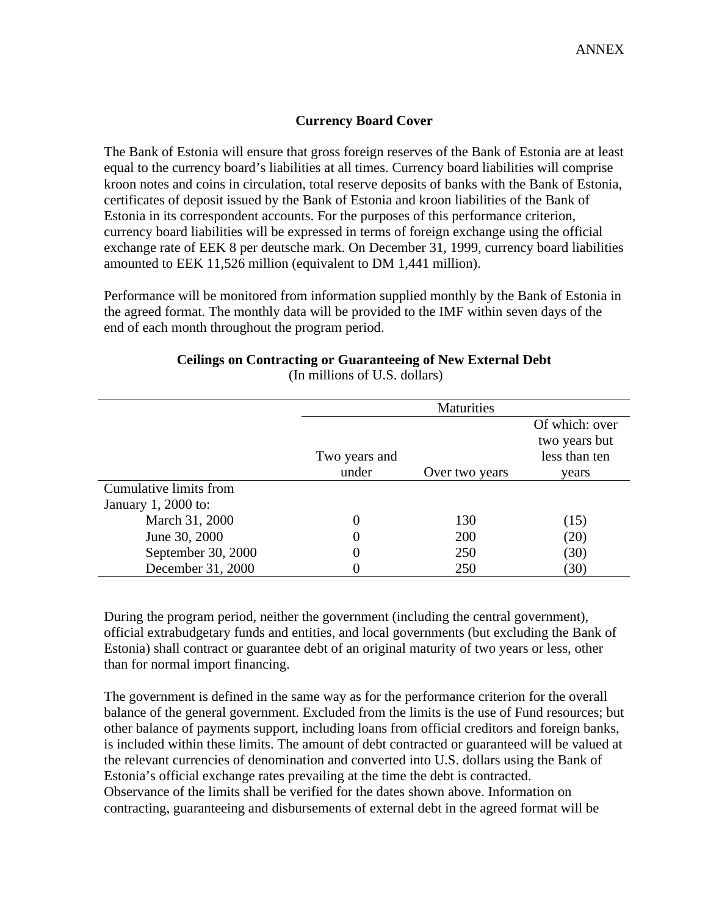### **Currency Board Cover**

The Bank of Estonia will ensure that gross foreign reserves of the Bank of Estonia are at least equal to the currency board's liabilities at all times. Currency board liabilities will comprise kroon notes and coins in circulation, total reserve deposits of banks with the Bank of Estonia, certificates of deposit issued by the Bank of Estonia and kroon liabilities of the Bank of Estonia in its correspondent accounts. For the purposes of this performance criterion, currency board liabilities will be expressed in terms of foreign exchange using the official exchange rate of EEK 8 per deutsche mark. On December 31, 1999, currency board liabilities amounted to EEK 11,526 million (equivalent to DM 1,441 million).

Performance will be monitored from information supplied monthly by the Bank of Estonia in the agreed format. The monthly data will be provided to the IMF within seven days of the end of each month throughout the program period.

#### **Ceilings on Contracting or Guaranteeing of New External Debt** (In millions of U.S. dollars)

|                        | Maturities    |                |                                                  |
|------------------------|---------------|----------------|--------------------------------------------------|
|                        | Two years and |                | Of which: over<br>two years but<br>less than ten |
|                        | under         | Over two years | years                                            |
| Cumulative limits from |               |                |                                                  |
| January 1, 2000 to:    |               |                |                                                  |
| March 31, 2000         | 0             | 130            | (15)                                             |
| June 30, 2000          | 0             | 200            | (20)                                             |
| September 30, 2000     | 0             | 250            | (30)                                             |
| December 31, 2000      |               | 250            | (30)                                             |

During the program period, neither the government (including the central government), official extrabudgetary funds and entities, and local governments (but excluding the Bank of Estonia) shall contract or guarantee debt of an original maturity of two years or less, other than for normal import financing.

The government is defined in the same way as for the performance criterion for the overall balance of the general government. Excluded from the limits is the use of Fund resources; but other balance of payments support, including loans from official creditors and foreign banks, is included within these limits. The amount of debt contracted or guaranteed will be valued at the relevant currencies of denomination and converted into U.S. dollars using the Bank of Estonia's official exchange rates prevailing at the time the debt is contracted. Observance of the limits shall be verified for the dates shown above. Information on contracting, guaranteeing and disbursements of external debt in the agreed format will be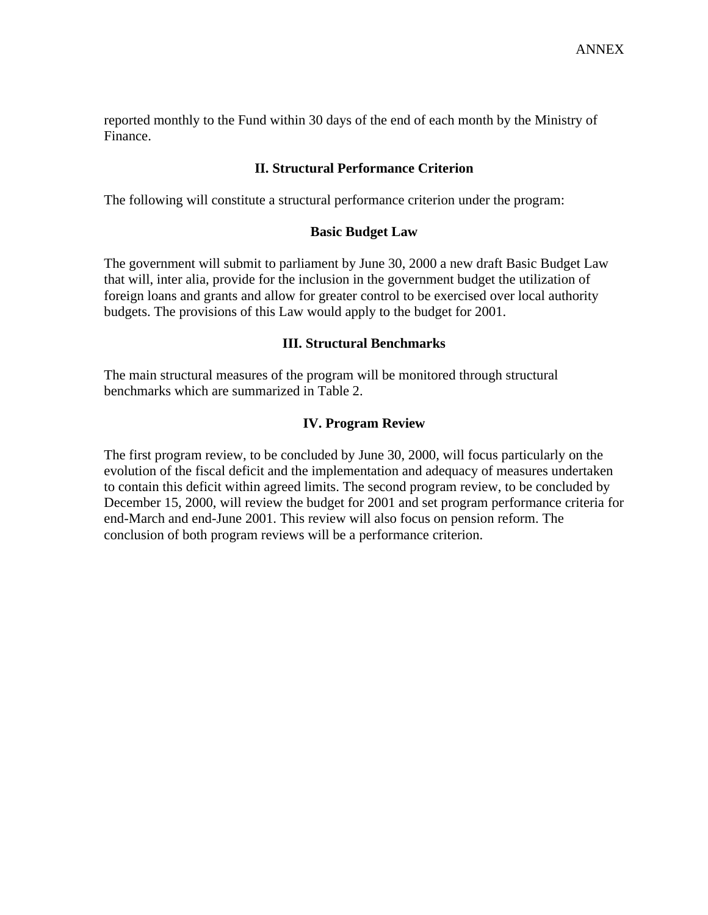reported monthly to the Fund within 30 days of the end of each month by the Ministry of Finance.

### **II. Structural Performance Criterion**

The following will constitute a structural performance criterion under the program:

#### **Basic Budget Law**

The government will submit to parliament by June 30, 2000 a new draft Basic Budget Law that will, inter alia, provide for the inclusion in the government budget the utilization of foreign loans and grants and allow for greater control to be exercised over local authority budgets. The provisions of this Law would apply to the budget for 2001.

#### **III. Structural Benchmarks**

The main structural measures of the program will be monitored through structural benchmarks which are summarized in Table 2.

#### **IV. Program Review**

The first program review, to be concluded by June 30, 2000, will focus particularly on the evolution of the fiscal deficit and the implementation and adequacy of measures undertaken to contain this deficit within agreed limits. The second program review, to be concluded by December 15, 2000, will review the budget for 2001 and set program performance criteria for end-March and end-June 2001. This review will also focus on pension reform. The conclusion of both program reviews will be a performance criterion.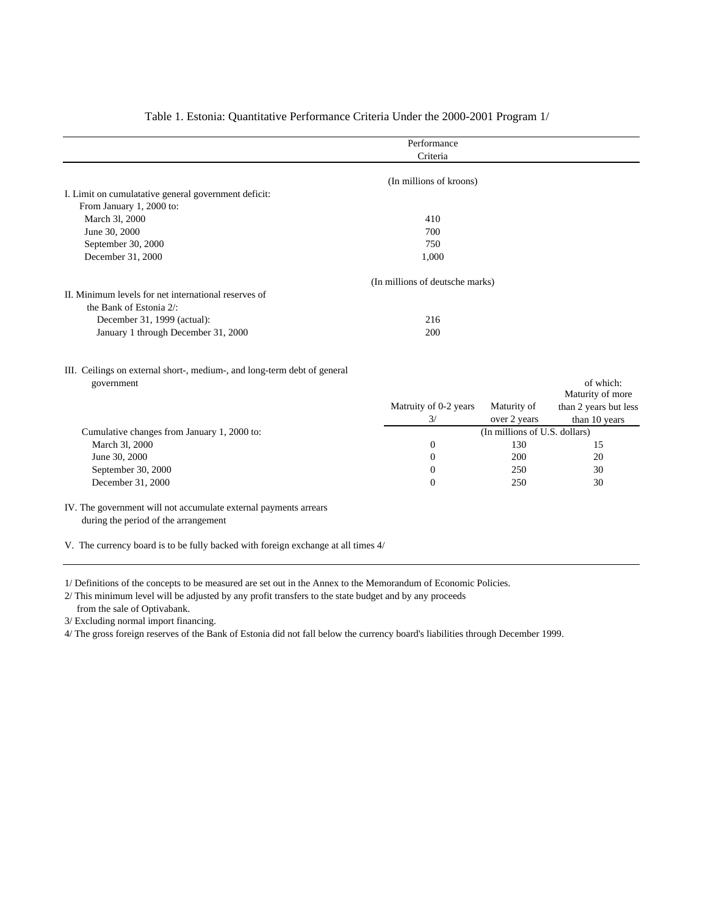|                                                      | Performance                     |  |
|------------------------------------------------------|---------------------------------|--|
|                                                      | Criteria                        |  |
|                                                      |                                 |  |
|                                                      | (In millions of kroons)         |  |
| I. Limit on cumulatative general government deficit: |                                 |  |
| From January 1, 2000 to:                             |                                 |  |
| March 31, 2000                                       | 410                             |  |
| June 30, 2000                                        | 700                             |  |
| September 30, 2000                                   | 750                             |  |
| December 31, 2000                                    | 1,000                           |  |
|                                                      | (In millions of deutsche marks) |  |
| II. Minimum levels for net international reserves of |                                 |  |
| the Bank of Estonia 2/:                              |                                 |  |
| December 31, 1999 (actual):                          | 216                             |  |
| January 1 through December 31, 2000                  | 200                             |  |
|                                                      |                                 |  |

#### Table 1. Estonia: Quantitative Performance Criteria Under the 2000-2001 Program 1/

III. Ceilings on external short-, medium-, and long-term debt of general government of which:

|                                             |                       |                               | Maturity of more      |  |
|---------------------------------------------|-----------------------|-------------------------------|-----------------------|--|
|                                             | Matruity of 0-2 years | Maturity of                   | than 2 years but less |  |
|                                             | 3/                    | over 2 years                  | than 10 years         |  |
| Cumulative changes from January 1, 2000 to: |                       | (In millions of U.S. dollars) |                       |  |
| March 31, 2000                              | $\overline{0}$        | 130                           | 15                    |  |
| June 30, 2000                               | $\Omega$              | 200                           | 20                    |  |
| September 30, 2000                          | $\theta$              | 250                           | 30                    |  |
| December 31, 2000                           | $\Omega$              | 250                           | 30                    |  |
|                                             |                       |                               |                       |  |

IV. The government will not accumulate external payments arrears during the period of the arrangement

V. The currency board is to be fully backed with foreign exchange at all times 4/

1/ Definitions of the concepts to be measured are set out in the Annex to the Memorandum of Economic Policies.

2/ This minimum level will be adjusted by any profit transfers to the state budget and by any proceeds from the sale of Optivabank.

3/ Excluding normal import financing.

4/ The gross foreign reserves of the Bank of Estonia did not fall below the currency board's liabilities through December 1999.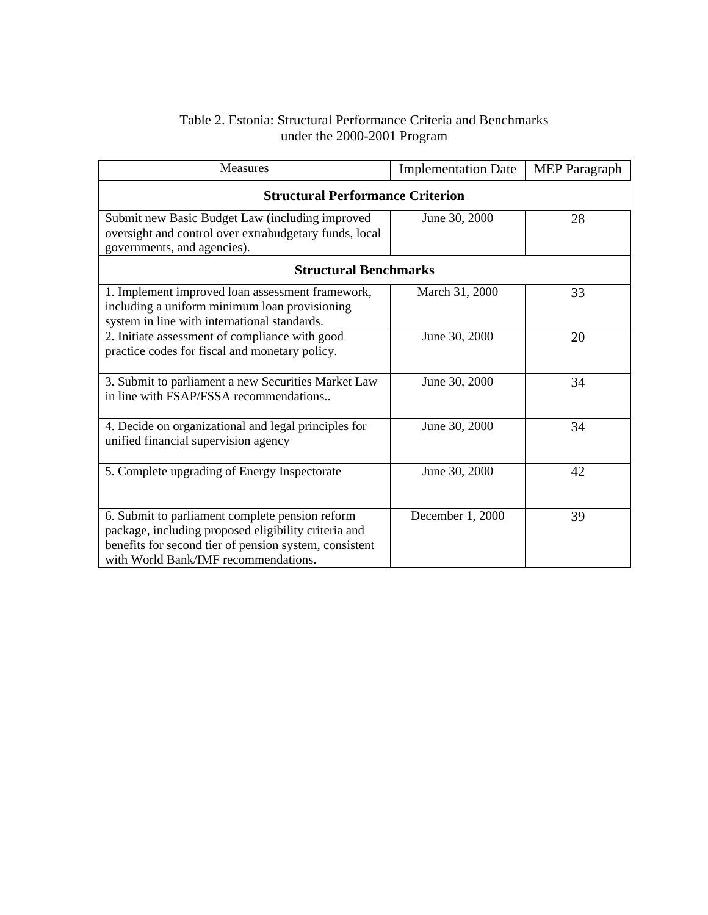### Table 2. Estonia: Structural Performance Criteria and Benchmarks under the 2000-2001 Program

| Measures                                                                                                                                                                                                  | <b>Implementation Date</b> | <b>MEP</b> Paragraph |  |
|-----------------------------------------------------------------------------------------------------------------------------------------------------------------------------------------------------------|----------------------------|----------------------|--|
| <b>Structural Performance Criterion</b>                                                                                                                                                                   |                            |                      |  |
| Submit new Basic Budget Law (including improved<br>oversight and control over extrabudgetary funds, local<br>governments, and agencies).                                                                  | June 30, 2000              | 28                   |  |
| <b>Structural Benchmarks</b>                                                                                                                                                                              |                            |                      |  |
| 1. Implement improved loan assessment framework,<br>including a uniform minimum loan provisioning<br>system in line with international standards.                                                         | March 31, 2000             | 33                   |  |
| 2. Initiate assessment of compliance with good<br>practice codes for fiscal and monetary policy.                                                                                                          | June 30, 2000              | 20                   |  |
| 3. Submit to parliament a new Securities Market Law<br>in line with FSAP/FSSA recommendations                                                                                                             | June 30, 2000              | 34                   |  |
| 4. Decide on organizational and legal principles for<br>unified financial supervision agency                                                                                                              | June 30, 2000              | 34                   |  |
| 5. Complete upgrading of Energy Inspectorate                                                                                                                                                              | June 30, 2000              | 42                   |  |
| 6. Submit to parliament complete pension reform<br>package, including proposed eligibility criteria and<br>benefits for second tier of pension system, consistent<br>with World Bank/IMF recommendations. | December 1, 2000           | 39                   |  |